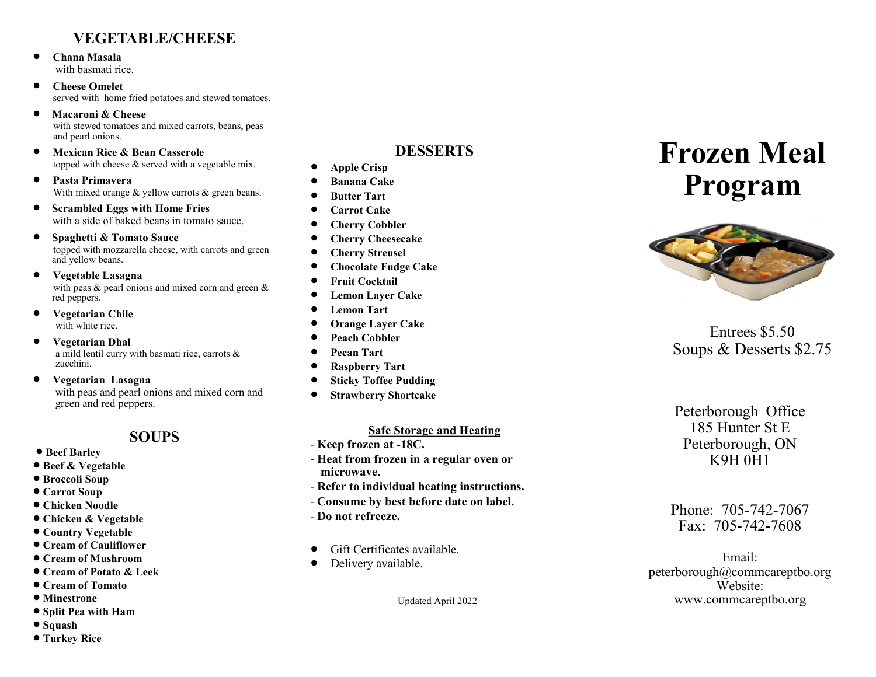### **VEGETABLE/CHEESE**

- **Chana Masala** with basmati rice.
- **Cheese Omelet** served with home fried potatoes and stewed tomatoes.
- **Macaroni & Cheese** with stewed tomatoes and mixed carrots, beans, peas and pearl onions.
- **Mexican Rice & Bean Casserole**  topped with cheese & served with a vegetable mix.

 **Pasta Primavera** With mixed orange  $&$  yellow carrots  $&$  green beans.

- $\bullet$  Scrambled Eggs with Home Fries with a side of baked beans in tomato sauce.
- **Spaghetti & Tomato Sauce** topped with mozzarella cheese, with carrots and green and yellow beans.
- **Vegetable Lasagna** with peas & pearl onions and mixed corn and green & red peppers.
- **Vegetarian Chile** with white rice.
- **Vegetarian Dhal** a mild lentil curry with basmati rice, carrots & zucchini.
- **Vegetarian Lasagna** with peas and pearl onions and mixed corn and green and red peppers.

### **SOUPS**

- $\bullet$  **Beef Barley**
- **Beef & Vegetable**
- **Broccoli Soup**
- **Carrot Soup**
- **Chicken Noodle**
- **Chicken & Vegetable**
- **Country Vegetable**
- **Cream of Cauliflower**
- **Cream of Mushroom**
- **Cream of Potato & Leek**
- **Cream of Tomato**
- $\bullet$  Minestrone
- **Split Pea with Ham**
- **Squash**
- **Turkey Rice**

### **DESSERTS**

- **Apple Crisp**
- **Banana Cake**
- **Butter Tart**
- **Carrot Cake**
- **Cherry Cobbler**
- **Cherry Cheesecake**
- **Cherry Streusel**
- **Chocolate Fudge Cake**
- **Fruit Cocktail**
- **Lemon Layer Cake**
- **Lemon Tart**
- **Orange Layer Cake**
- **Peach Cobbler**
- **Pecan Tart**
- **Raspberry Tart**
- **Sticky Toffee Pudding**
- **Strawberry Shortcake**

#### **Safe Storage and Heating**

- **Keep frozen at -18C.**
- **Heat from frozen in a regular oven or microwave.**
- **Refer to individual heating instructions.**
- **Consume by best before date on label.**
- **Do not refreeze.**
- Gift Certificates available.
- Delivery available.

Updated April 2022

# **Frozen Meal Program**



Entrees \$5.50 Soups & Desserts \$2.75

Peterborough Office 185 Hunter St E Peterborough, ON K9H 0H1

Phone: 705-742-7067 Fax: 705-742-7608

Email: peterborough@commcareptbo.org Website: www.commcareptbo.org